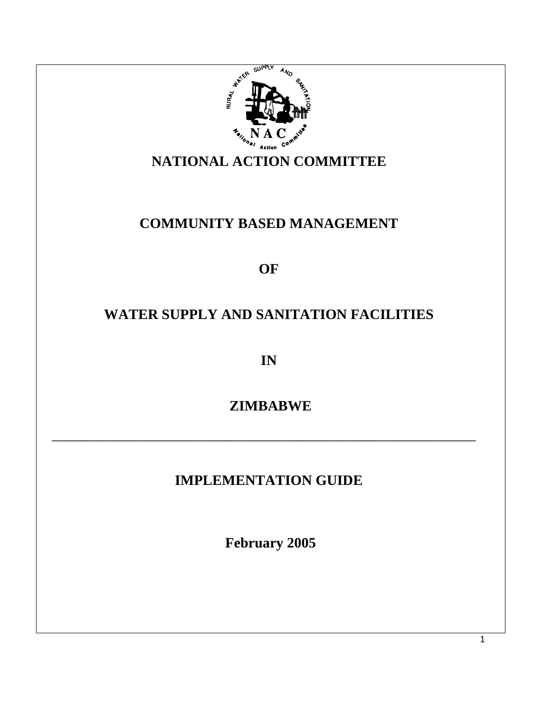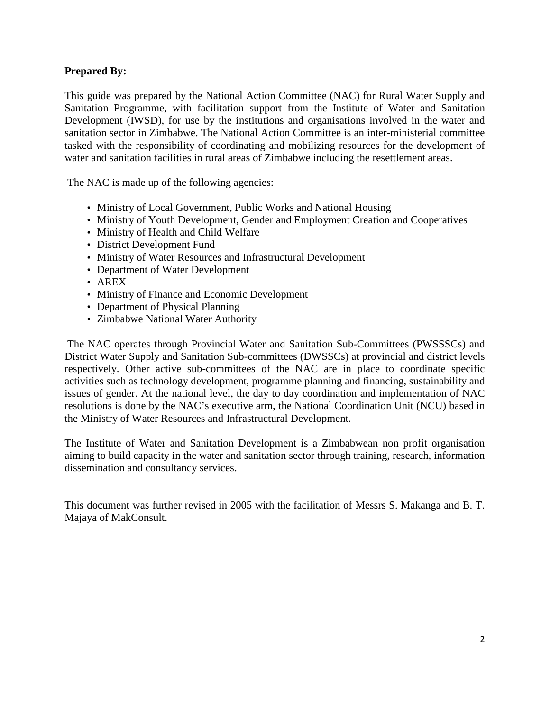## **Prepared By:**

This guide was prepared by the National Action Committee (NAC) for Rural Water Supply and Sanitation Programme, with facilitation support from the Institute of Water and Sanitation Development (IWSD), for use by the institutions and organisations involved in the water and sanitation sector in Zimbabwe. The National Action Committee is an inter-ministerial committee tasked with the responsibility of coordinating and mobilizing resources for the development of water and sanitation facilities in rural areas of Zimbabwe including the resettlement areas.

The NAC is made up of the following agencies:

- Ministry of Local Government, Public Works and National Housing
- Ministry of Youth Development, Gender and Employment Creation and Cooperatives
- Ministry of Health and Child Welfare
- District Development Fund
- Ministry of Water Resources and Infrastructural Development
- Department of Water Development
- AREX
- Ministry of Finance and Economic Development
- Department of Physical Planning
- Zimbabwe National Water Authority

 The NAC operates through Provincial Water and Sanitation Sub-Committees (PWSSSCs) and District Water Supply and Sanitation Sub-committees (DWSSCs) at provincial and district levels respectively. Other active sub-committees of the NAC are in place to coordinate specific activities such as technology development, programme planning and financing, sustainability and issues of gender. At the national level, the day to day coordination and implementation of NAC resolutions is done by the NAC's executive arm, the National Coordination Unit (NCU) based in the Ministry of Water Resources and Infrastructural Development.

The Institute of Water and Sanitation Development is a Zimbabwean non profit organisation aiming to build capacity in the water and sanitation sector through training, research, information dissemination and consultancy services.

This document was further revised in 2005 with the facilitation of Messrs S. Makanga and B. T. Majaya of MakConsult.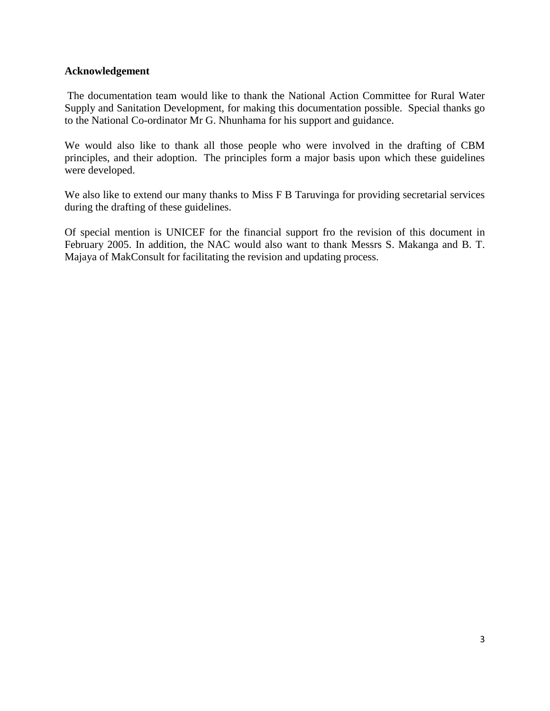### **Acknowledgement**

 The documentation team would like to thank the National Action Committee for Rural Water Supply and Sanitation Development, for making this documentation possible. Special thanks go to the National Co-ordinator Mr G. Nhunhama for his support and guidance.

We would also like to thank all those people who were involved in the drafting of CBM principles, and their adoption. The principles form a major basis upon which these guidelines were developed.

We also like to extend our many thanks to Miss F B Taruvinga for providing secretarial services during the drafting of these guidelines.

Of special mention is UNICEF for the financial support fro the revision of this document in February 2005. In addition, the NAC would also want to thank Messrs S. Makanga and B. T. Majaya of MakConsult for facilitating the revision and updating process.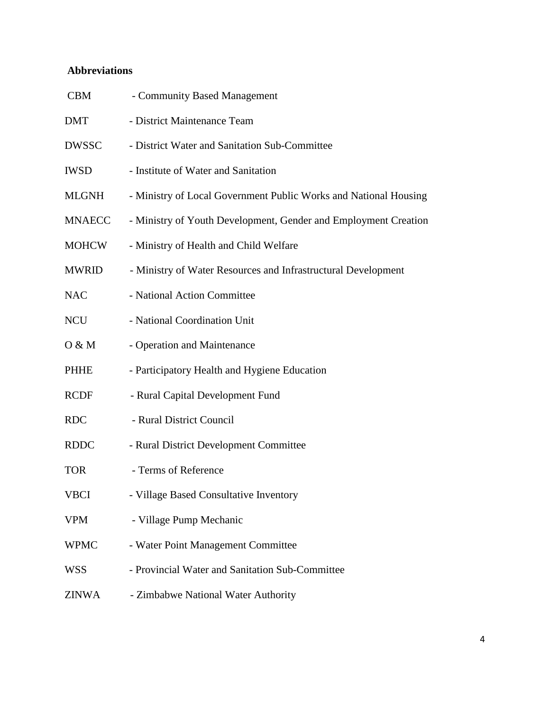## **Abbreviations**

| <b>CBM</b>    | - Community Based Management                                     |
|---------------|------------------------------------------------------------------|
| <b>DMT</b>    | - District Maintenance Team                                      |
| <b>DWSSC</b>  | - District Water and Sanitation Sub-Committee                    |
| <b>IWSD</b>   | - Institute of Water and Sanitation                              |
| <b>MLGNH</b>  | - Ministry of Local Government Public Works and National Housing |
| <b>MNAECC</b> | - Ministry of Youth Development, Gender and Employment Creation  |
| <b>MOHCW</b>  | - Ministry of Health and Child Welfare                           |
| <b>MWRID</b>  | - Ministry of Water Resources and Infrastructural Development    |
| <b>NAC</b>    | - National Action Committee                                      |
| <b>NCU</b>    | - National Coordination Unit                                     |
| O & M         | - Operation and Maintenance                                      |
| PHHE          | - Participatory Health and Hygiene Education                     |
| <b>RCDF</b>   | - Rural Capital Development Fund                                 |
| <b>RDC</b>    | - Rural District Council                                         |
| <b>RDDC</b>   | - Rural District Development Committee                           |
| <b>TOR</b>    | - Terms of Reference                                             |
| VBCI          | - Village Based Consultative Inventory                           |
| <b>VPM</b>    | - Village Pump Mechanic                                          |
| <b>WPMC</b>   | - Water Point Management Committee                               |
| <b>WSS</b>    | - Provincial Water and Sanitation Sub-Committee                  |
| <b>ZINWA</b>  | - Zimbabwe National Water Authority                              |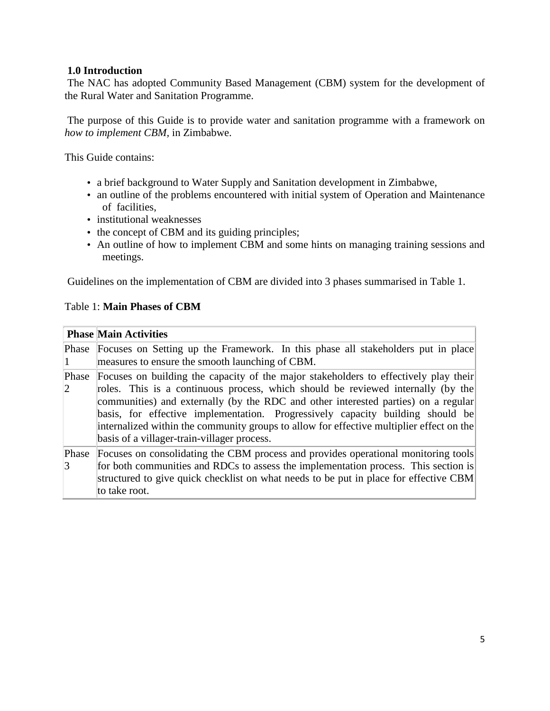## **1.0 Introduction**

 The NAC has adopted Community Based Management (CBM) system for the development of the Rural Water and Sanitation Programme.

 The purpose of this Guide is to provide water and sanitation programme with a framework on *how to implement CBM,* in Zimbabwe.

This Guide contains:

- a brief background to Water Supply and Sanitation development in Zimbabwe,
- an outline of the problems encountered with initial system of Operation and Maintenance of facilities,
- institutional weaknesses
- the concept of CBM and its guiding principles;
- An outline of how to implement CBM and some hints on managing training sessions and meetings.

Guidelines on the implementation of CBM are divided into 3 phases summarised in Table 1.

## Table 1: **Main Phases of CBM**

|                        | <b>Phase Main Activities</b>                                                                                                                                                                                                                                                                                                                                                                                                                                                                |
|------------------------|---------------------------------------------------------------------------------------------------------------------------------------------------------------------------------------------------------------------------------------------------------------------------------------------------------------------------------------------------------------------------------------------------------------------------------------------------------------------------------------------|
|                        | Phase Focuses on Setting up the Framework. In this phase all stakeholders put in place<br>measures to ensure the smooth launching of CBM.                                                                                                                                                                                                                                                                                                                                                   |
| Phase<br>2             | Focuses on building the capacity of the major stakeholders to effectively play their<br>roles. This is a continuous process, which should be reviewed internally (by the<br>communities) and externally (by the RDC and other interested parties) on a regular<br>basis, for effective implementation. Progressively capacity building should be<br>internalized within the community groups to allow for effective multiplier effect on the<br>basis of a villager-train-villager process. |
| Phase<br>$\mathcal{R}$ | Focuses on consolidating the CBM process and provides operational monitoring tools<br>for both communities and RDCs to assess the implementation process. This section is<br>structured to give quick checklist on what needs to be put in place for effective CBM<br>to take root.                                                                                                                                                                                                         |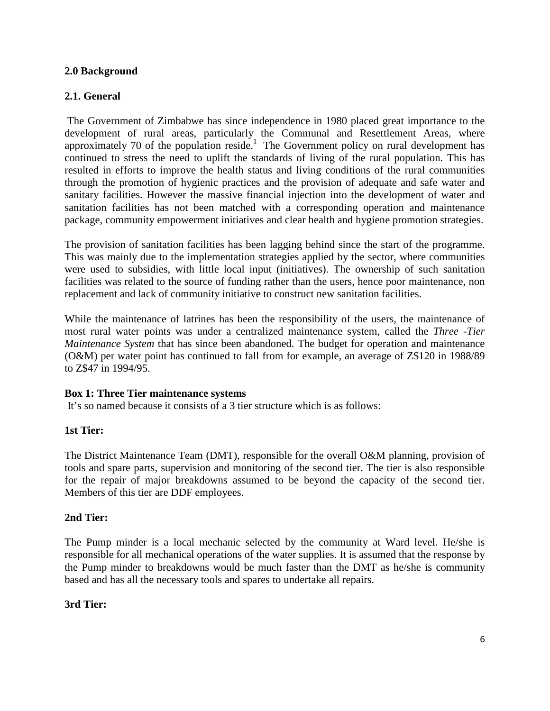## **2.0 Background**

## **2.1. General**

 The Government of Zimbabwe has since independence in 1980 placed great importance to the development of rural areas, particularly the Communal and Resettlement Areas, where approximately 70 of the population reside.<sup>1</sup> The Government policy on rural development has continued to stress the need to uplift the standards of living of the rural population. This has resulted in efforts to improve the health status and living conditions of the rural communities through the promotion of hygienic practices and the provision of adequate and safe water and sanitary facilities. However the massive financial injection into the development of water and sanitation facilities has not been matched with a corresponding operation and maintenance package, community empowerment initiatives and clear health and hygiene promotion strategies.

The provision of sanitation facilities has been lagging behind since the start of the programme. This was mainly due to the implementation strategies applied by the sector, where communities were used to subsidies, with little local input (initiatives). The ownership of such sanitation facilities was related to the source of funding rather than the users, hence poor maintenance, non replacement and lack of community initiative to construct new sanitation facilities.

While the maintenance of latrines has been the responsibility of the users, the maintenance of most rural water points was under a centralized maintenance system, called the *Three -Tier Maintenance System* that has since been abandoned. The budget for operation and maintenance (O&M) per water point has continued to fall from for example, an average of Z\$120 in 1988/89 to Z\$47 in 1994/95.

### **Box 1: Three Tier maintenance systems**

It's so named because it consists of a 3 tier structure which is as follows:

### **1st Tier:**

The District Maintenance Team (DMT), responsible for the overall O&M planning, provision of tools and spare parts, supervision and monitoring of the second tier. The tier is also responsible for the repair of major breakdowns assumed to be beyond the capacity of the second tier. Members of this tier are DDF employees.

### **2nd Tier:**

The Pump minder is a local mechanic selected by the community at Ward level. He/she is responsible for all mechanical operations of the water supplies. It is assumed that the response by the Pump minder to breakdowns would be much faster than the DMT as he/she is community based and has all the necessary tools and spares to undertake all repairs.

### **3rd Tier:**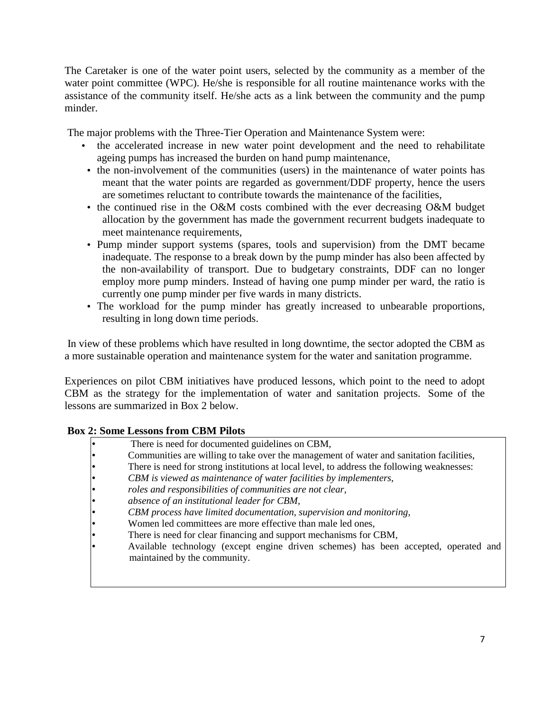The Caretaker is one of the water point users, selected by the community as a member of the water point committee (WPC). He/she is responsible for all routine maintenance works with the assistance of the community itself. He/she acts as a link between the community and the pump minder.

The major problems with the Three-Tier Operation and Maintenance System were:

- the accelerated increase in new water point development and the need to rehabilitate ageing pumps has increased the burden on hand pump maintenance,
- the non-involvement of the communities (users) in the maintenance of water points has meant that the water points are regarded as government/DDF property, hence the users are sometimes reluctant to contribute towards the maintenance of the facilities,
- the continued rise in the O&M costs combined with the ever decreasing O&M budget allocation by the government has made the government recurrent budgets inadequate to meet maintenance requirements,
- Pump minder support systems (spares, tools and supervision) from the DMT became inadequate. The response to a break down by the pump minder has also been affected by the non-availability of transport. Due to budgetary constraints, DDF can no longer employ more pump minders. Instead of having one pump minder per ward, the ratio is currently one pump minder per five wards in many districts.
- The workload for the pump minder has greatly increased to unbearable proportions, resulting in long down time periods.

 In view of these problems which have resulted in long downtime, the sector adopted the CBM as a more sustainable operation and maintenance system for the water and sanitation programme.

Experiences on pilot CBM initiatives have produced lessons, which point to the need to adopt CBM as the strategy for the implementation of water and sanitation projects. Some of the lessons are summarized in Box 2 below.

### **Box 2: Some Lessons from CBM Pilots**

- There is need for documented guidelines on CBM,
- Communities are willing to take over the management of water and sanitation facilities,
- There is need for strong institutions at local level, to address the following weaknesses:
- *CBM is viewed as maintenance of water facilities by implementers,*
- *roles and responsibilities of communities are not clear,*
- *absence of an institutional leader for CBM,*
- *CBM process have limited documentation, supervision and monitoring,*
- Women led committees are more effective than male led ones,
- There is need for clear financing and support mechanisms for CBM,
- Available technology (except engine driven schemes) has been accepted, operated and maintained by the community.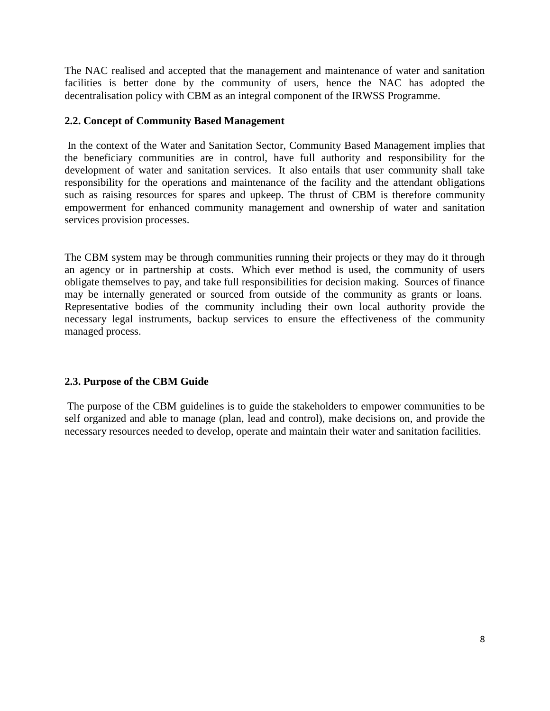The NAC realised and accepted that the management and maintenance of water and sanitation facilities is better done by the community of users, hence the NAC has adopted the decentralisation policy with CBM as an integral component of the IRWSS Programme.

## **2.2. Concept of Community Based Management**

 In the context of the Water and Sanitation Sector, Community Based Management implies that the beneficiary communities are in control, have full authority and responsibility for the development of water and sanitation services. It also entails that user community shall take responsibility for the operations and maintenance of the facility and the attendant obligations such as raising resources for spares and upkeep. The thrust of CBM is therefore community empowerment for enhanced community management and ownership of water and sanitation services provision processes.

The CBM system may be through communities running their projects or they may do it through an agency or in partnership at costs. Which ever method is used, the community of users obligate themselves to pay, and take full responsibilities for decision making. Sources of finance may be internally generated or sourced from outside of the community as grants or loans. Representative bodies of the community including their own local authority provide the necessary legal instruments, backup services to ensure the effectiveness of the community managed process.

## **2.3. Purpose of the CBM Guide**

 The purpose of the CBM guidelines is to guide the stakeholders to empower communities to be self organized and able to manage (plan, lead and control), make decisions on, and provide the necessary resources needed to develop, operate and maintain their water and sanitation facilities.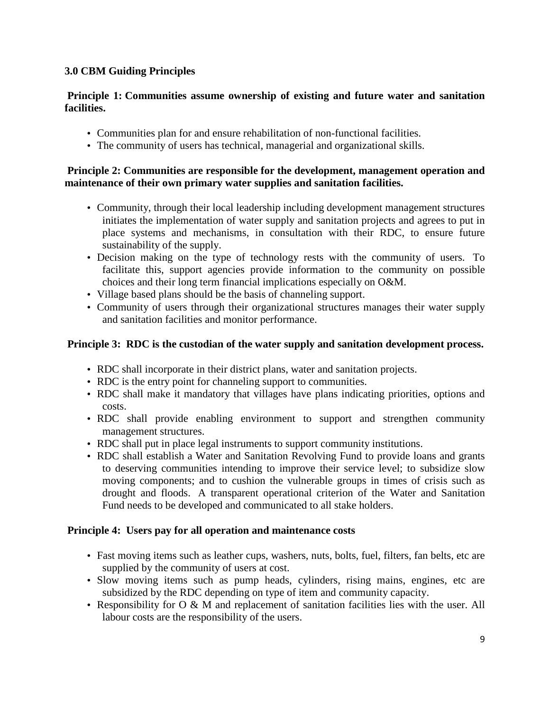## **3.0 CBM Guiding Principles**

## **Principle 1: Communities assume ownership of existing and future water and sanitation facilities.**

- Communities plan for and ensure rehabilitation of non-functional facilities.
- The community of users has technical, managerial and organizational skills.

## **Principle 2: Communities are responsible for the development, management operation and maintenance of their own primary water supplies and sanitation facilities.**

- Community, through their local leadership including development management structures initiates the implementation of water supply and sanitation projects and agrees to put in place systems and mechanisms, in consultation with their RDC, to ensure future sustainability of the supply.
- Decision making on the type of technology rests with the community of users. To facilitate this, support agencies provide information to the community on possible choices and their long term financial implications especially on O&M.
- Village based plans should be the basis of channeling support.
- Community of users through their organizational structures manages their water supply and sanitation facilities and monitor performance.

## **Principle 3: RDC is the custodian of the water supply and sanitation development process.**

- RDC shall incorporate in their district plans, water and sanitation projects.
- RDC is the entry point for channeling support to communities.
- RDC shall make it mandatory that villages have plans indicating priorities, options and costs.
- RDC shall provide enabling environment to support and strengthen community management structures.
- RDC shall put in place legal instruments to support community institutions.
- RDC shall establish a Water and Sanitation Revolving Fund to provide loans and grants to deserving communities intending to improve their service level; to subsidize slow moving components; and to cushion the vulnerable groups in times of crisis such as drought and floods. A transparent operational criterion of the Water and Sanitation Fund needs to be developed and communicated to all stake holders.

## **Principle 4: Users pay for all operation and maintenance costs**

- Fast moving items such as leather cups, washers, nuts, bolts, fuel, filters, fan belts, etc are supplied by the community of users at cost.
- Slow moving items such as pump heads, cylinders, rising mains, engines, etc are subsidized by the RDC depending on type of item and community capacity.
- Responsibility for O & M and replacement of sanitation facilities lies with the user. All labour costs are the responsibility of the users.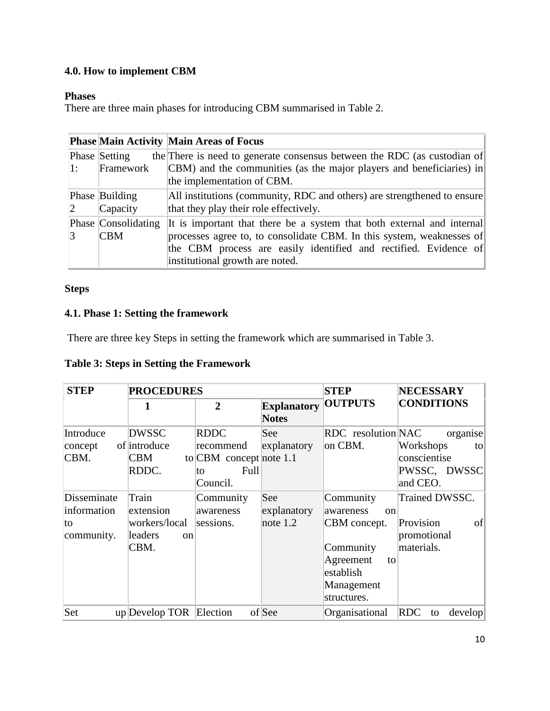# **4.0. How to implement CBM**

## **Phases**

There are three main phases for introducing CBM summarised in Table 2.

|                             |                      | <b>Phase Main Activity Main Areas of Focus</b>                               |
|-----------------------------|----------------------|------------------------------------------------------------------------------|
|                             | <b>Phase Setting</b> | the There is need to generate consensus between the RDC (as custodian of     |
| $\mathbf{1}$ :              | Framework            | $\vert$ CBM) and the communities (as the major players and beneficiaries) in |
|                             |                      | the implementation of CBM.                                                   |
|                             | Phase Building       | All institutions (community, RDC and others) are strengthened to ensure      |
| $\mathcal{D}_{\mathcal{L}}$ | Capacity             | that they play their role effectively.                                       |
|                             | Phase Consolidating  | It is important that there be a system that both external and internal       |
|                             | <b>CBM</b>           | processes agree to, to consolidate CBM. In this system, weaknesses of        |
|                             |                      | the CBM process are easily identified and rectified. Evidence of             |
|                             |                      | institutional growth are noted.                                              |

# **Steps**

## **4.1. Phase 1: Setting the framework**

There are three key Steps in setting the framework which are summarised in Table 3.

# **Table 3: Steps in Setting the Framework**

| <b>STEP</b>                                    | <b>PROCEDURES</b>                                                       |                                                                                  | <b>STEP</b>                        | <b>NECESSARY</b>                                                                                                            |                                                                         |
|------------------------------------------------|-------------------------------------------------------------------------|----------------------------------------------------------------------------------|------------------------------------|-----------------------------------------------------------------------------------------------------------------------------|-------------------------------------------------------------------------|
|                                                |                                                                         | $\mathbf{2}$                                                                     | <b>Explanatory</b><br><b>Notes</b> | <b>OUTPUTS</b>                                                                                                              | <b>CONDITIONS</b>                                                       |
| Introduce<br>concept<br>CBM.                   | <b>DWSSC</b><br>of introduce<br><b>CBM</b><br>RDDC.                     | <b>RDDC</b><br>recommend<br>to $CBM$ concept note 1.1<br>Full<br>lto<br>Council. | See<br>explanatory                 | RDC resolution NAC<br>on CBM.                                                                                               | organise<br>Workshops<br>to<br>conscientise<br>PWSSC, DWSSC<br>and CEO. |
| Disseminate<br>information<br>to<br>community. | Train<br>extension<br>workers/local<br>leaders<br><sub>on</sub><br>CBM. | Community<br>awareness<br>sessions.                                              | See<br>explanatory<br>note $1.2$   | Community<br>awareness<br>$^{on}$<br>CBM concept.<br>Community<br>Agreement<br>to<br>establish<br>Management<br>structures. | Trained DWSSC.<br>Provision<br>of<br>promotional<br>materials.          |
| Set                                            | up Develop TOR                                                          | Election                                                                         | of See                             | Organisational                                                                                                              | RDC<br>develop<br>to                                                    |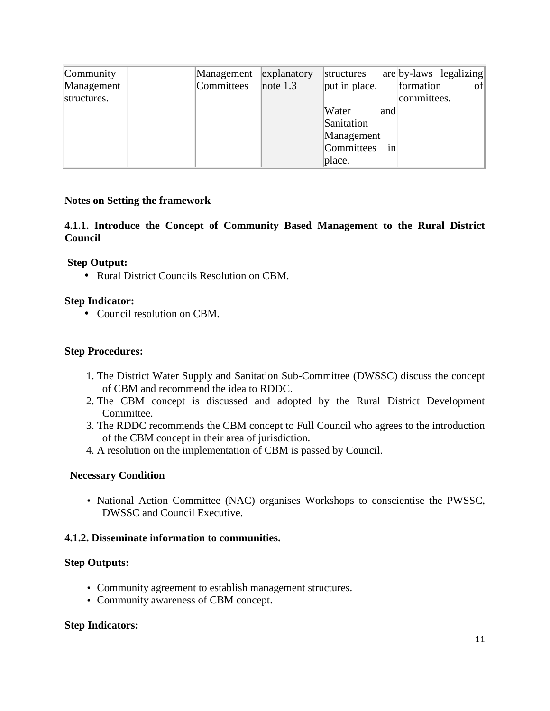| Community                 | Management | explanatory | structures    |     | $are \,  by\text{-}laws\  egalizing $ |
|---------------------------|------------|-------------|---------------|-----|---------------------------------------|
| Management<br>structures. | Committees | note $1.3$  | put in place. |     | formation<br> of <br>committees.      |
|                           |            |             | Water         | and |                                       |
|                           |            |             | Sanitation    |     |                                       |
|                           |            |             | Management    |     |                                       |
|                           |            |             | Committees    | in  |                                       |
|                           |            |             | place.        |     |                                       |

## **Notes on Setting the framework**

**4.1.1. Introduce the Concept of Community Based Management to the Rural District Council** 

### **Step Output:**

• Rural District Councils Resolution on CBM.

## **Step Indicator:**

• Council resolution on CBM.

## **Step Procedures:**

- 1. The District Water Supply and Sanitation Sub-Committee (DWSSC) discuss the concept of CBM and recommend the idea to RDDC.
- 2. The CBM concept is discussed and adopted by the Rural District Development Committee.
- 3. The RDDC recommends the CBM concept to Full Council who agrees to the introduction of the CBM concept in their area of jurisdiction.
- 4. A resolution on the implementation of CBM is passed by Council.

### **Necessary Condition**

• National Action Committee (NAC) organises Workshops to conscientise the PWSSC, DWSSC and Council Executive.

### **4.1.2. Disseminate information to communities.**

### **Step Outputs:**

- Community agreement to establish management structures.
- Community awareness of CBM concept.

#### **Step Indicators:**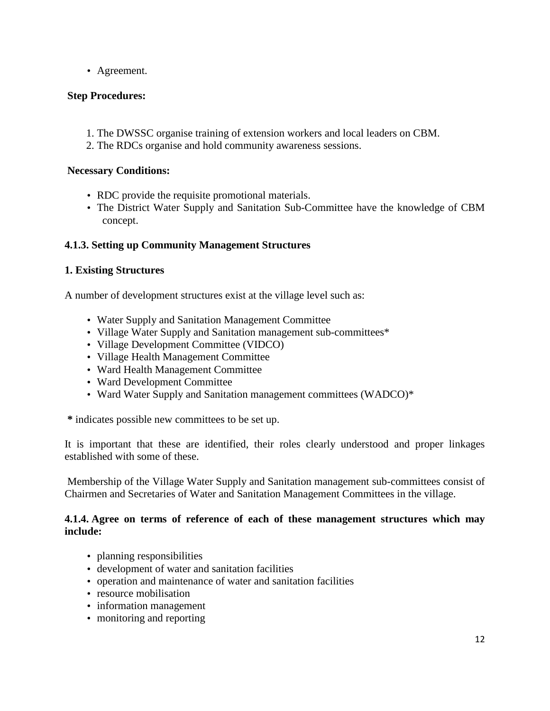• Agreement.

## **Step Procedures:**

- 1. The DWSSC organise training of extension workers and local leaders on CBM.
- 2. The RDCs organise and hold community awareness sessions.

### **Necessary Conditions:**

- RDC provide the requisite promotional materials.
- The District Water Supply and Sanitation Sub-Committee have the knowledge of CBM concept.

## **4.1.3. Setting up Community Management Structures**

## **1. Existing Structures**

A number of development structures exist at the village level such as:

- Water Supply and Sanitation Management Committee
- Village Water Supply and Sanitation management sub-committees\*
- Village Development Committee (VIDCO)
- Village Health Management Committee
- Ward Health Management Committee
- Ward Development Committee
- Ward Water Supply and Sanitation management committees (WADCO)\*

**\*** indicates possible new committees to be set up.

It is important that these are identified, their roles clearly understood and proper linkages established with some of these.

 Membership of the Village Water Supply and Sanitation management sub-committees consist of Chairmen and Secretaries of Water and Sanitation Management Committees in the village.

### **4.1.4. Agree on terms of reference of each of these management structures which may include:**

- planning responsibilities
- development of water and sanitation facilities
- operation and maintenance of water and sanitation facilities
- resource mobilisation
- information management
- monitoring and reporting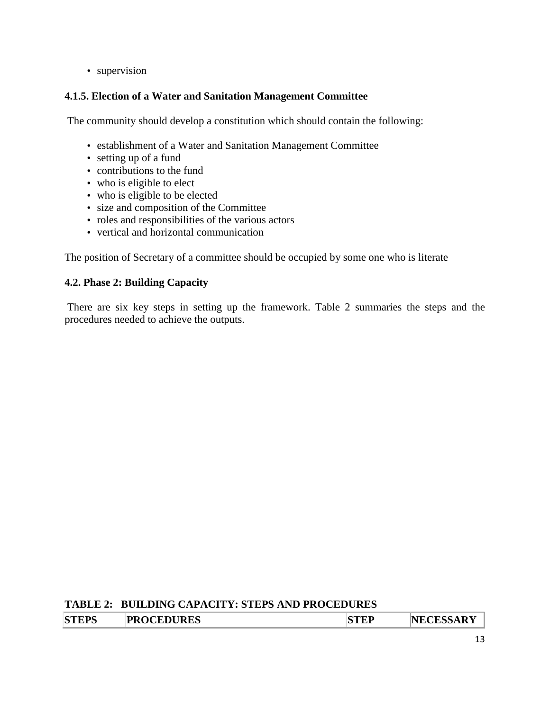• supervision

## **4.1.5. Election of a Water and Sanitation Management Committee**

The community should develop a constitution which should contain the following:

- establishment of a Water and Sanitation Management Committee
- setting up of a fund
- contributions to the fund
- who is eligible to elect
- who is eligible to be elected
- size and composition of the Committee
- roles and responsibilities of the various actors
- vertical and horizontal communication

The position of Secretary of a committee should be occupied by some one who is literate

## **4.2. Phase 2: Building Capacity**

 There are six key steps in setting up the framework. Table 2 summaries the steps and the procedures needed to achieve the outputs.

## **TABLE 2: BUILDING CAPACITY: STEPS AND PROCEDURES**

| <b>STEPS</b> | <b>PROCEDURES</b> | <b>NECESSARY</b> |
|--------------|-------------------|------------------|
|              |                   |                  |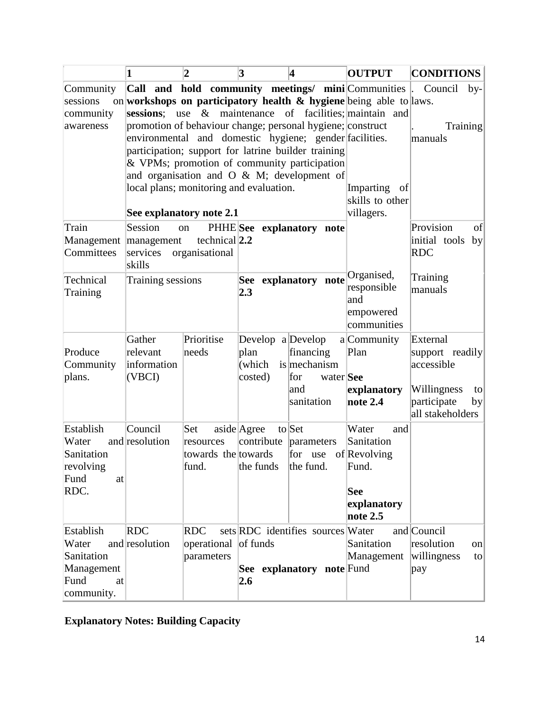|                                                                            | 1                                                                                                                                                                                                                                                                                                                       | $\overline{\mathbf{2}}$                          | 3                                                 | 4                                                                   | <b>OUTPUT</b>                                                                                                                                                                          | <b>CONDITIONS</b>                                                                                         |
|----------------------------------------------------------------------------|-------------------------------------------------------------------------------------------------------------------------------------------------------------------------------------------------------------------------------------------------------------------------------------------------------------------------|--------------------------------------------------|---------------------------------------------------|---------------------------------------------------------------------|----------------------------------------------------------------------------------------------------------------------------------------------------------------------------------------|-----------------------------------------------------------------------------------------------------------|
| Community<br>sessions<br>community<br>awareness                            |                                                                                                                                                                                                                                                                                                                         |                                                  |                                                   |                                                                     | Call and hold community meetings/ mini Communities<br>on workshops on participatory health $\&$ hygiene being able to laws.<br>sessions; use & maintenance of facilities; maintain and | Council<br>$by-$<br><b>Training</b>                                                                       |
|                                                                            | promotion of behaviour change; personal hygiene; construct<br>environmental and domestic hygiene; gender facilities.<br>participation; support for latrine builder training<br>& VPMs; promotion of community participation<br>and organisation and O $\&$ M; development of<br>local plans; monitoring and evaluation. |                                                  |                                                   |                                                                     | <b>Imparting</b><br>- of                                                                                                                                                               | manuals                                                                                                   |
|                                                                            | See explanatory note 2.1                                                                                                                                                                                                                                                                                                |                                                  |                                                   |                                                                     | skills to other<br>villagers.                                                                                                                                                          |                                                                                                           |
| Train<br>Management management<br>Committees                               | Session<br>services<br>skills                                                                                                                                                                                                                                                                                           | on<br>technical $ 2.2$<br>organisational         | PHHE See explanatory note                         |                                                                     |                                                                                                                                                                                        | Provision<br>of<br>initial tools<br> by <br><b>RDC</b>                                                    |
| Technical<br>Training                                                      | Training sessions                                                                                                                                                                                                                                                                                                       |                                                  | See explanatory note<br>2.3                       |                                                                     | Organised,<br>responsible<br>and<br>empowered<br>communities                                                                                                                           | Training<br>manuals                                                                                       |
| Produce<br>Community<br>plans.                                             | Gather<br>relevant<br>information<br>(VBCI)                                                                                                                                                                                                                                                                             | Prioritise<br>needs                              | Develop a $D$ evelop<br>plan<br>(which<br>costed) | financing<br>is mechanism<br>water See<br>for<br>land<br>sanitation | a Community<br>Plan<br>explanatory<br>note 2.4                                                                                                                                         | External<br>support readily<br>accessible<br>Willingness<br>to<br>participate<br> by <br>all stakeholders |
| Establish<br>Water<br>Sanitation<br>revolving<br>Fund<br>at<br>RDC.        | Council<br>and resolution                                                                                                                                                                                                                                                                                               | Set<br>resources<br>towards the towards<br>fund. | aside Agree<br>contribute<br>the funds the fund.  | to Set<br>parameters<br>for use of Revolving                        | Water<br>and<br>Sanitation<br>Fund.<br><b>See</b><br>explanatory<br>note $2.5$                                                                                                         |                                                                                                           |
| Establish<br>Water<br>Sanitation<br>Management<br>Fund<br>at<br>community. | RDC<br>and resolution                                                                                                                                                                                                                                                                                                   | <b>RDC</b><br>operational of funds<br>parameters | 2.6                                               | sets RDC identifies sources Water<br>See explanatory note Fund      | Sanitation<br>Management                                                                                                                                                               | and Council<br>resolution<br>on<br>willingness<br>to<br>pay                                               |

**Explanatory Notes: Building Capacity**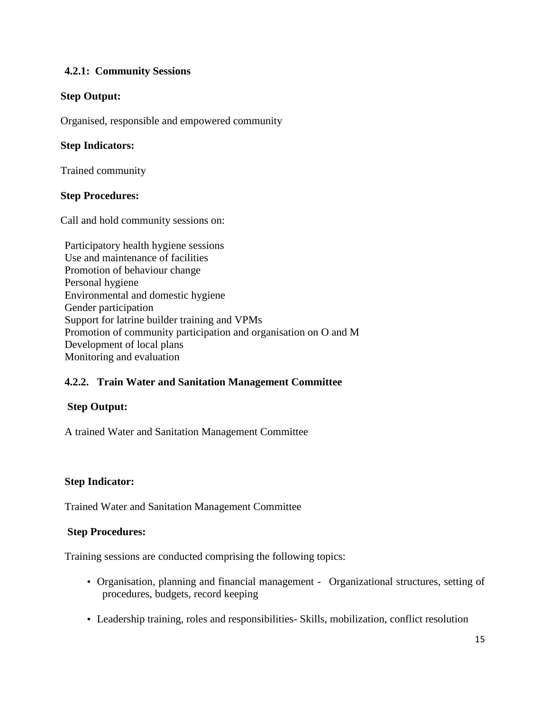## **4.2.1: Community Sessions**

## **Step Output:**

Organised, responsible and empowered community

## **Step Indicators:**

Trained community

### **Step Procedures:**

Call and hold community sessions on:

Participatory health hygiene sessions Use and maintenance of facilities Promotion of behaviour change Personal hygiene Environmental and domestic hygiene Gender participation Support for latrine builder training and VPMs Promotion of community participation and organisation on O and M Development of local plans Monitoring and evaluation

## **4.2.2. Train Water and Sanitation Management Committee**

### **Step Output:**

A trained Water and Sanitation Management Committee

### **Step Indicator:**

Trained Water and Sanitation Management Committee

### **Step Procedures:**

Training sessions are conducted comprising the following topics:

- Organisation, planning and financial management Organizational structures, setting of procedures, budgets, record keeping
- Leadership training, roles and responsibilities- Skills, mobilization, conflict resolution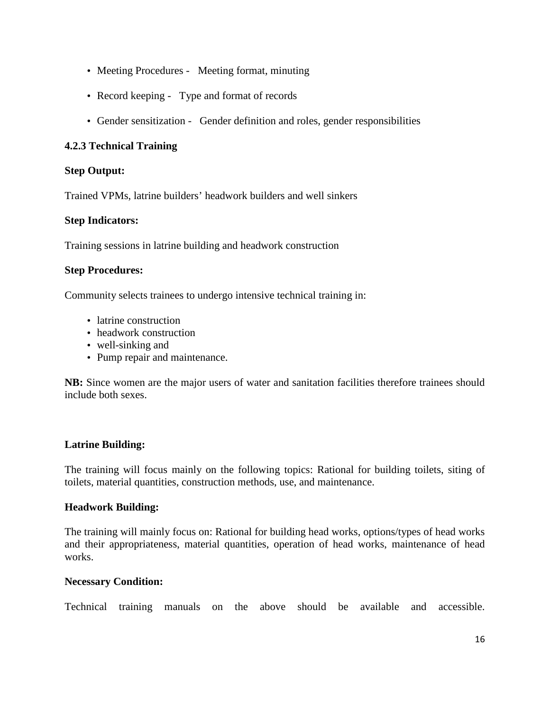- Meeting Procedures Meeting format, minuting
- Record keeping Type and format of records
- Gender sensitization Gender definition and roles, gender responsibilities

## **4.2.3 Technical Training**

## **Step Output:**

Trained VPMs, latrine builders' headwork builders and well sinkers

## **Step Indicators:**

Training sessions in latrine building and headwork construction

## **Step Procedures:**

Community selects trainees to undergo intensive technical training in:

- latrine construction
- headwork construction
- well-sinking and
- Pump repair and maintenance.

**NB:** Since women are the major users of water and sanitation facilities therefore trainees should include both sexes.

### **Latrine Building:**

The training will focus mainly on the following topics: Rational for building toilets, siting of toilets, material quantities, construction methods, use, and maintenance.

### **Headwork Building:**

The training will mainly focus on: Rational for building head works, options/types of head works and their appropriateness, material quantities, operation of head works, maintenance of head works.

### **Necessary Condition:**

Technical training manuals on the above should be available and accessible.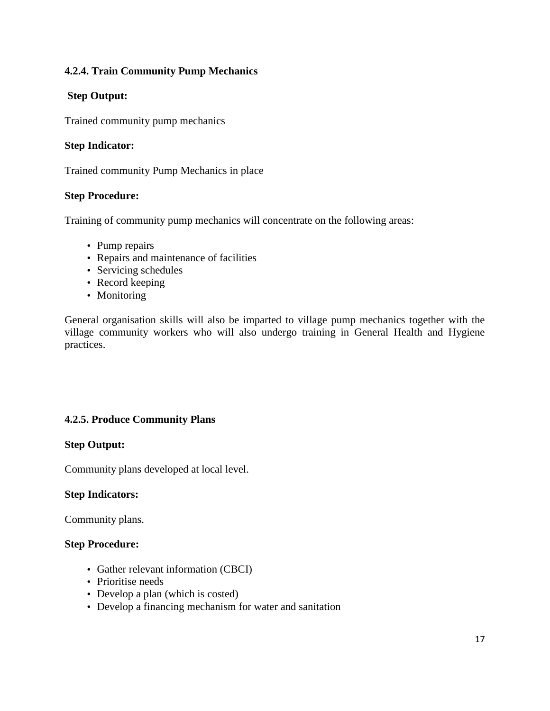## **4.2.4. Train Community Pump Mechanics**

## **Step Output:**

Trained community pump mechanics

## **Step Indicator:**

Trained community Pump Mechanics in place

## **Step Procedure:**

Training of community pump mechanics will concentrate on the following areas:

- Pump repairs
- Repairs and maintenance of facilities
- Servicing schedules
- Record keeping
- Monitoring

General organisation skills will also be imparted to village pump mechanics together with the village community workers who will also undergo training in General Health and Hygiene practices.

## **4.2.5. Produce Community Plans**

### **Step Output:**

Community plans developed at local level.

### **Step Indicators:**

Community plans.

### **Step Procedure:**

- Gather relevant information (CBCI)
- Prioritise needs
- Develop a plan (which is costed)
- Develop a financing mechanism for water and sanitation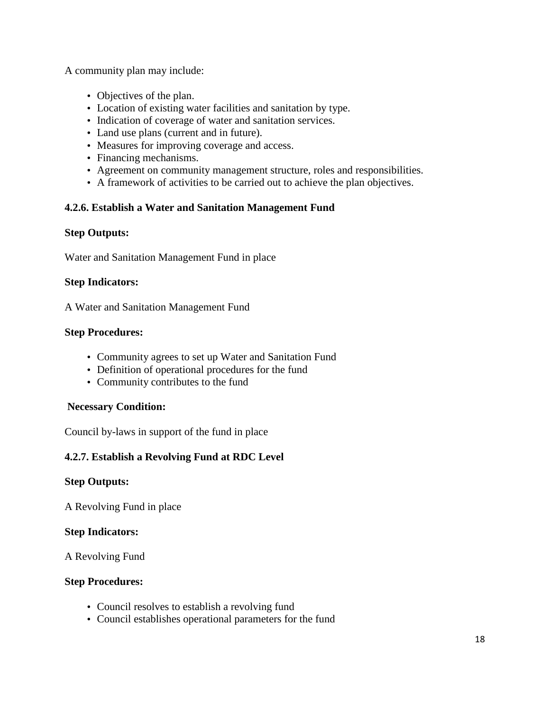A community plan may include:

- Objectives of the plan.
- Location of existing water facilities and sanitation by type.
- Indication of coverage of water and sanitation services.
- Land use plans (current and in future).
- Measures for improving coverage and access.
- Financing mechanisms.
- Agreement on community management structure, roles and responsibilities.
- A framework of activities to be carried out to achieve the plan objectives.

## **4.2.6. Establish a Water and Sanitation Management Fund**

### **Step Outputs:**

Water and Sanitation Management Fund in place

### **Step Indicators:**

A Water and Sanitation Management Fund

#### **Step Procedures:**

- Community agrees to set up Water and Sanitation Fund
- Definition of operational procedures for the fund
- Community contributes to the fund

### **Necessary Condition:**

Council by-laws in support of the fund in place

## **4.2.7. Establish a Revolving Fund at RDC Level**

### **Step Outputs:**

A Revolving Fund in place

### **Step Indicators:**

A Revolving Fund

### **Step Procedures:**

- Council resolves to establish a revolving fund
- Council establishes operational parameters for the fund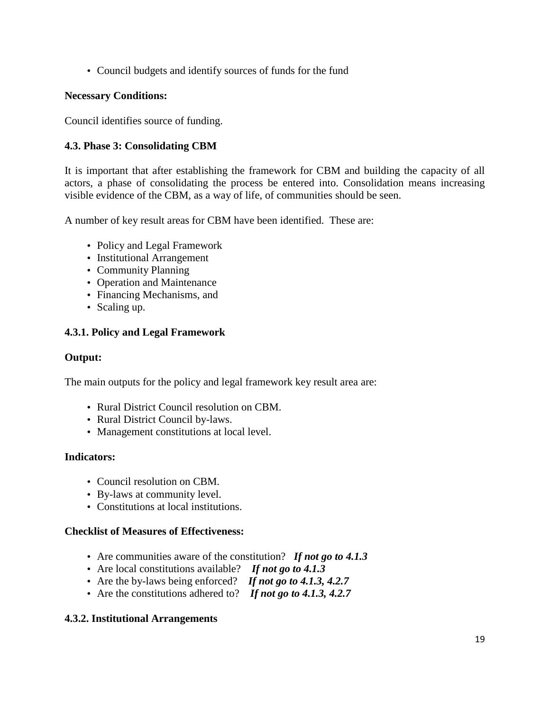• Council budgets and identify sources of funds for the fund

## **Necessary Conditions:**

Council identifies source of funding.

## **4.3. Phase 3: Consolidating CBM**

It is important that after establishing the framework for CBM and building the capacity of all actors, a phase of consolidating the process be entered into. Consolidation means increasing visible evidence of the CBM, as a way of life, of communities should be seen.

A number of key result areas for CBM have been identified. These are:

- Policy and Legal Framework
- Institutional Arrangement
- Community Planning
- Operation and Maintenance
- Financing Mechanisms, and
- Scaling up.

## **4.3.1. Policy and Legal Framework**

## **Output:**

The main outputs for the policy and legal framework key result area are:

- Rural District Council resolution on CBM.
- Rural District Council by-laws.
- Management constitutions at local level.

## **Indicators:**

- Council resolution on CBM.
- By-laws at community level.
- Constitutions at local institutions.

## **Checklist of Measures of Effectiveness:**

- Are communities aware of the constitution? *If not go to 4.1.3*
- Are local constitutions available? *If not go to 4.1.3*
- Are the by-laws being enforced? *If not go to 4.1.3, 4.2.7*
- Are the constitutions adhered to? *If not go to 4.1.3, 4.2.7*

## **4.3.2. Institutional Arrangements**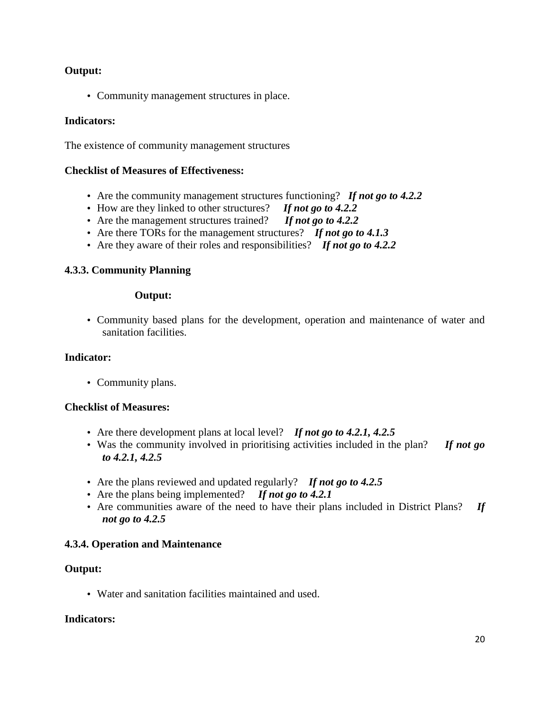## **Output:**

• Community management structures in place.

## **Indicators:**

The existence of community management structures

### **Checklist of Measures of Effectiveness:**

- Are the community management structures functioning? If not go to 4.2.2
- How are they linked to other structures? *If not go to 4.2.2*
- Are the management structures trained? *If not go to 4.2.2*
- Are there TORs for the management structures? *If not go to 4.1.3*
- Are they aware of their roles and responsibilities? *If not go to 4.2.2*

## **4.3.3. Community Planning**

#### **Output:**

• Community based plans for the development, operation and maintenance of water and sanitation facilities.

### **Indicator:**

• Community plans.

### **Checklist of Measures:**

- Are there development plans at local level? *If not go to 4.2.1, 4.2.5*
- Was the community involved in prioritising activities included in the plan? *If not go to 4.2.1, 4.2.5*
- Are the plans reviewed and updated regularly? *If not go to 4.2.5*
- Are the plans being implemented? *If not go to 4.2.1*
- Are communities aware of the need to have their plans included in District Plans? *If not go to 4.2.5*

### **4.3.4. Operation and Maintenance**

### **Output:**

• Water and sanitation facilities maintained and used.

### **Indicators:**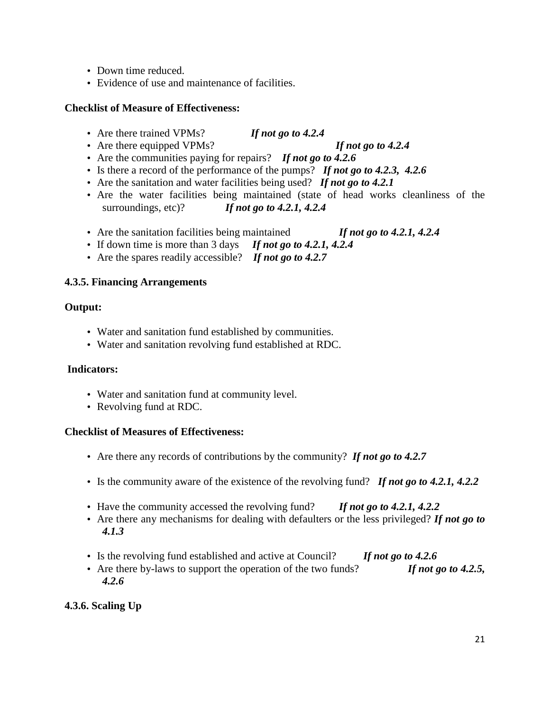- Down time reduced.
- Evidence of use and maintenance of facilities.

## **Checklist of Measure of Effectiveness:**

- Are there trained VPMs? *If not go to 4.2.4*
- Are there equipped VPMs? *If not go to 4.2.4* 
	-
- Are the communities paying for repairs? *If not go to 4.2.6*
- Is there a record of the performance of the pumps? *If not go to 4.2.3, 4.2.6*
- Are the sanitation and water facilities being used? *If not go to 4.2.1*
- Are the water facilities being maintained (state of head works cleanliness of the surroundings, etc)? *If not go to 4.2.1, 4.2.4*
- Are the sanitation facilities being maintained *If not go to 4.2.1, 4.2.4*
- If down time is more than 3 days *If not go to 4.2.1, 4.2.4*
- Are the spares readily accessible? *If not go to 4.2.7*

## **4.3.5. Financing Arrangements**

## **Output:**

- Water and sanitation fund established by communities.
- Water and sanitation revolving fund established at RDC.

## **Indicators:**

- Water and sanitation fund at community level.
- Revolving fund at RDC.

## **Checklist of Measures of Effectiveness:**

- Are there any records of contributions by the community? *If not go to 4.2.7*
- Is the community aware of the existence of the revolving fund? *If not go to 4.2.1, 4.2.2*
- Have the community accessed the revolving fund? *If not go to 4.2.1, 4.2.2*
- Are there any mechanisms for dealing with defaulters or the less privileged? *If not go to 4.1.3*
- Is the revolving fund established and active at Council? *If not go to 4.2.6*
- Are there by-laws to support the operation of the two funds? *If not go to 4.2.5, 4.2.6*

## **4.3.6. Scaling Up**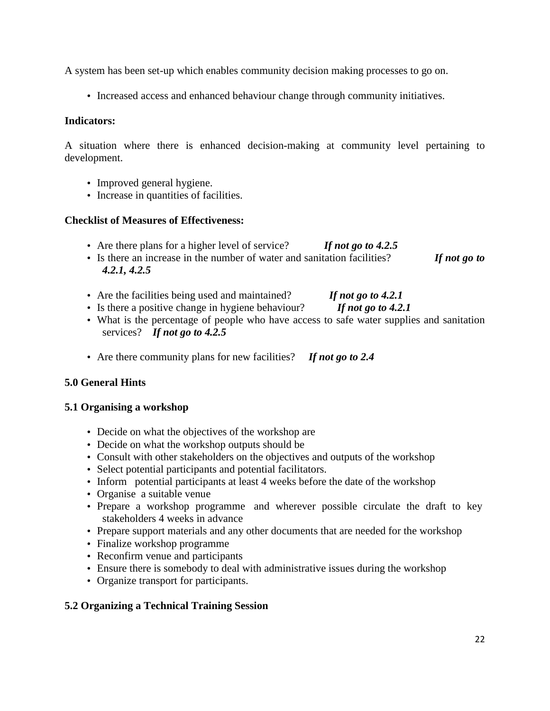A system has been set-up which enables community decision making processes to go on.

• Increased access and enhanced behaviour change through community initiatives.

### **Indicators:**

A situation where there is enhanced decision-making at community level pertaining to development.

- Improved general hygiene.
- Increase in quantities of facilities.

## **Checklist of Measures of Effectiveness:**

- Are there plans for a higher level of service? *If not go to 4.2.5*
- Is there an increase in the number of water and sanitation facilities? *If not go to 4.2.1, 4.2.5*
- Are the facilities being used and maintained? *If not go to 4.2.1*
- Is there a positive change in hygiene behaviour? *If not go to 4.2.1*
- What is the percentage of people who have access to safe water supplies and sanitation services? *If not go to 4.2.5*
- Are there community plans for new facilities? *If not go to 2.4*

## **5.0 General Hints**

## **5.1 Organising a workshop**

- Decide on what the objectives of the workshop are
- Decide on what the workshop outputs should be
- Consult with other stakeholders on the objectives and outputs of the workshop
- Select potential participants and potential facilitators.
- Inform potential participants at least 4 weeks before the date of the workshop
- Organise a suitable venue
- Prepare a workshop programme and wherever possible circulate the draft to key stakeholders 4 weeks in advance
- Prepare support materials and any other documents that are needed for the workshop
- Finalize workshop programme
- Reconfirm venue and participants
- Ensure there is somebody to deal with administrative issues during the workshop
- Organize transport for participants.

## **5.2 Organizing a Technical Training Session**